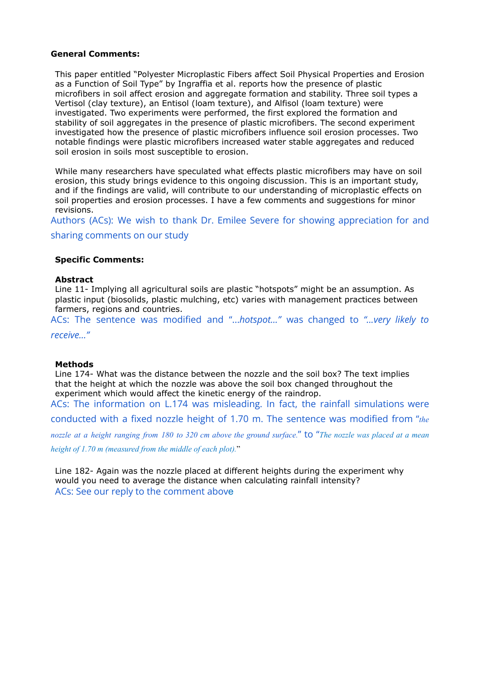## **General Comments:**

This paper entitled "Polyester Microplastic Fibers affect Soil Physical Properties and Erosion as a Function of Soil Type" by Ingraffia et al. reports how the presence of plastic microfibers in soil affect erosion and aggregate formation and stability. Three soil types a Vertisol (clay texture), an Entisol (loam texture), and Alfisol (loam texture) were investigated. Two experiments were performed, the first explored the formation and stability of soil aggregates in the presence of plastic microfibers. The second experiment investigated how the presence of plastic microfibers influence soil erosion processes. Two notable findings were plastic microfibers increased water stable aggregates and reduced soil erosion in soils most susceptible to erosion.

While many researchers have speculated what effects plastic microfibers may have on soil erosion, this study brings evidence to this ongoing discussion. This is an important study, and if the findings are valid, will contribute to our understanding of microplastic effects on soil properties and erosion processes. I have a few comments and suggestions for minor revisions.

Authors (ACs): We wish to thank Dr. Emilee Severe for showing appreciation for and

sharing comments on our study

# **Specific Comments:**

#### **Abstract**

Line 11- Implying all agricultural soils are plastic "hotspots" might be an assumption. As plastic input (biosolids, plastic mulching, etc) varies with management practices between farmers, regions and countries.

ACs: The sentence was modified and "...*hotspot…"* was changed to *"...very likely to*

*receive…"*

## **Methods**

Line 174- What was the distance between the nozzle and the soil box? The text implies that the height at which the nozzle was above the soil box changed throughout the experiment which would affect the kinetic energy of the raindrop. ACs: The information on L.174 was misleading. In fact, the rainfall simulations were

conducted with a fixed nozzle height of 1.70 m. The sentence was modified from "*the*

nozzle at a height ranging from 180 to 320 cm above the ground surface." to "The nozzle was placed at a mean *height of 1.70 m (measured from the middle of each plot).*"

Line 182- Again was the nozzle placed at different heights during the experiment why would you need to average the distance when calculating rainfall intensity? ACs: See our reply to the comment above